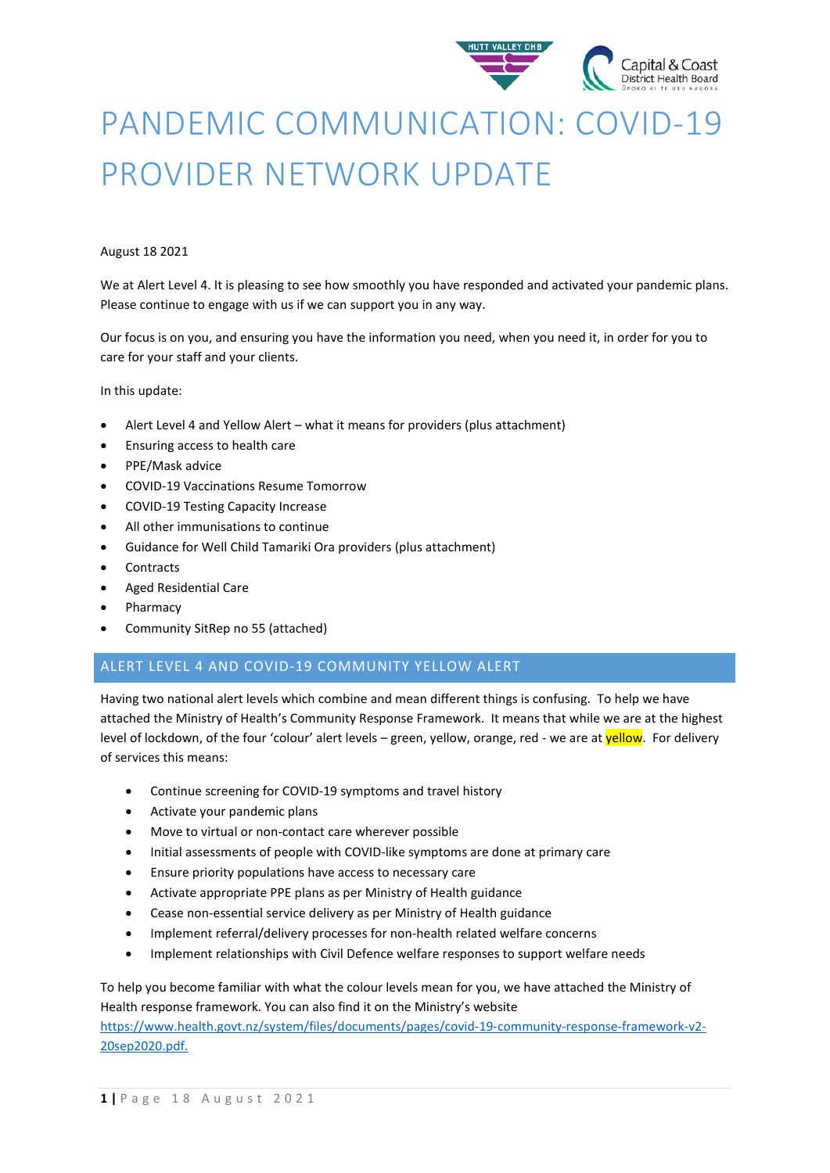

# PANDEMIC COMMUNICATION: COVID-19 PROVIDER NETWORK UPDATE

#### August 18 2021

We at Alert Level 4. It is pleasing to see how smoothly you have responded and activated your pandemic plans. Please continue to engage with us if we can support you in any way.

Our focus is on you, and ensuring you have the information you need, when you need it, in order for you to care for your staff and your clients.

In this update:

- Alert Level 4 and Yellow Alert what it means for providers (plus attachment)
- Ensuring access to health care
- PPE/Mask advice
- COVID-19 Vaccinations Resume Tomorrow
- COVID-19 Testing Capacity Increase
- All other immunisations to continue
- Guidance for Well Child Tamariki Ora providers (plus attachment)
- **Contracts**
- Aged Residential Care
- **Pharmacy**
- Community SitRep no 55 (attached)

### ALERT LEVEL 4 AND COVID-19 COMMUNITY YELLOW ALERT

Having two national alert levels which combine and mean different things is confusing. To help we have attached the Ministry of Health's Community Response Framework. It means that while we are at the highest level of lockdown, of the four 'colour' alert levels – green, yellow, orange, red - we are at yellow. For delivery of services this means:

- Continue screening for COVID-19 symptoms and travel history
- Activate your pandemic plans
- Move to virtual or non-contact care wherever possible
- Initial assessments of people with COVID-like symptoms are done at primary care
- Ensure priority populations have access to necessary care
- Activate appropriate PPE plans as per Ministry of Health guidance
- Cease non-essential service delivery as per Ministry of Health guidance
- Implement referral/delivery processes for non-health related welfare concerns
- Implement relationships with Civil Defence welfare responses to support welfare needs

To help you become familiar with what the colour levels mean for you, we have attached the Ministry of Health response framework. You can also find it on the Ministry's website [https://www.health.govt.nz/system/files/documents/pages/covid-19-community-response-framework-v2-](https://www.health.govt.nz/system/files/documents/pages/covid-19-community-response-framework-v2-20sep2020.pdf.)

[20sep2020.pdf.](https://www.health.govt.nz/system/files/documents/pages/covid-19-community-response-framework-v2-20sep2020.pdf.)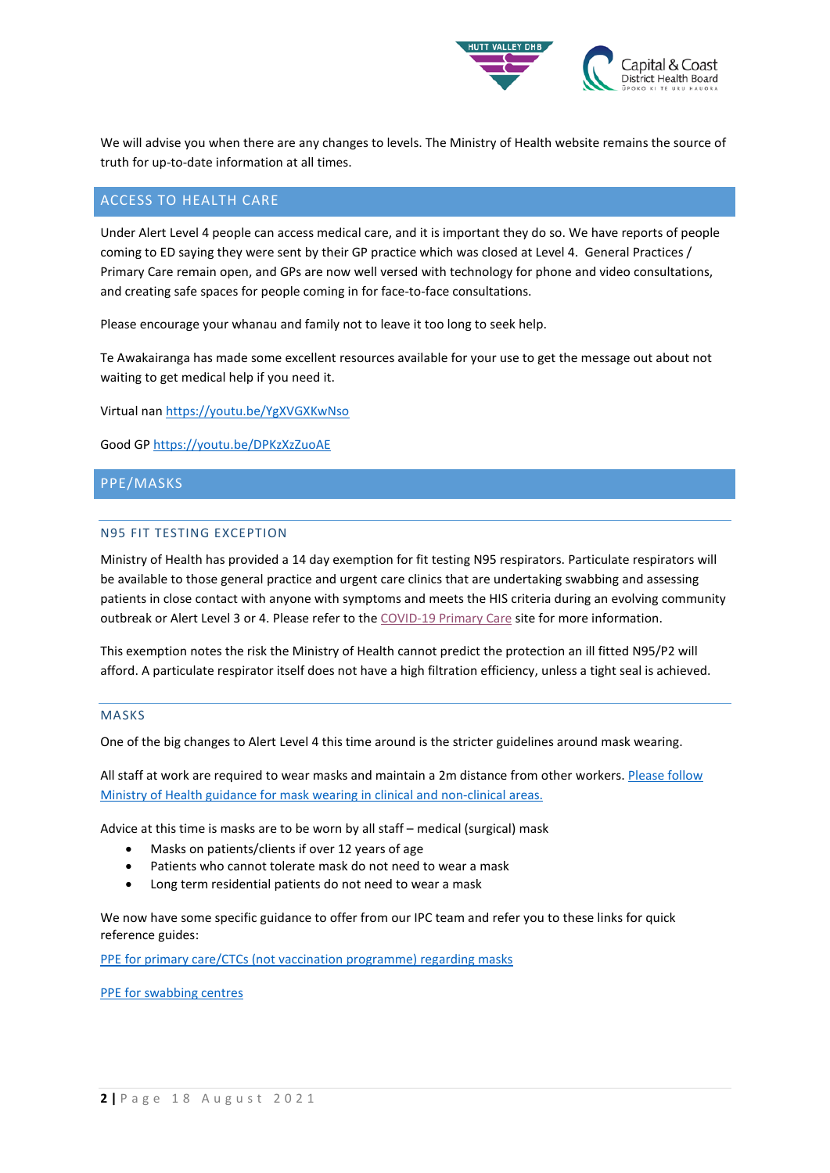

We will advise you when there are any changes to levels. The Ministry of Health website remains the source of truth for up-to-date information at all times.

#### ACCESS TO HEALTH CARE

Under Alert Level 4 people can access medical care, and it is important they do so. We have reports of people coming to ED saying they were sent by their GP practice which was closed at Level 4. General Practices / Primary Care remain open, and GPs are now well versed with technology for phone and video consultations, and creating safe spaces for people coming in for face-to-face consultations.

Please encourage your whanau and family not to leave it too long to seek help.

Te Awakairanga has made some excellent resources available for your use to get the message out about not waiting to get medical help if you need it.

Virtual nan [https://youtu.be/YgXVGXKwNso](https://urldefense.com/v3/__https:/youtu.be/YgXVGXKwNso__;!!A3teau8g8Q!HZdlx5vlhTd2FJfoDH_RRK031TUjmJNPEMa1_WTuoO9l-OQp-BCX8Mri4FgxALaEkH_-$)

Good GP [https://youtu.be/DPKzXzZuoAE](https://urldefense.com/v3/__https:/youtu.be/DPKzXzZuoAE__;!!A3teau8g8Q!HZdlx5vlhTd2FJfoDH_RRK031TUjmJNPEMa1_WTuoO9l-OQp-BCX8Mri4FgxAHWngoWt$)

### PPE/MASKS

#### N95 FIT TESTING EXCEPTION

Ministry of Health has provided a 14 day exemption for fit testing N95 respirators. Particulate respirators will be available to those general practice and urgent care clinics that are undertaking swabbing and assessing patients in close contact with anyone with symptoms and meets the HIS criteria during an evolving community outbreak or Alert Level 3 or 4. Please refer to the [COVID-19 Primary Care](https://urldefense.com/v3/__https:/www.health.govt.nz/our-work/diseases-and-conditions/covid-19-novel-coronavirus/covid-19-information-health-professionals/covid-19-primary-care__;!!A3teau8g8Q!ClV4rPyP8Qxuny_RL3KggBwC0N8XDNU4U0mYZgOijzUqj1j2TmKew2XZW_y3pfqfgyFIagOi_f4$) site for more information.

This exemption notes the risk the Ministry of Health cannot predict the protection an ill fitted N95/P2 will afford. A particulate respirator itself does not have a high filtration efficiency, unless a tight seal is achieved.

#### MASKS

One of the big changes to Alert Level 4 this time around is the stricter guidelines around mask wearing.

All staff at work are required to wear masks and maintain a 2m distance from other workers. Please follow [Ministry of Health guidance for mask wearing in clinical and non-clinical areas.](https://www.health.govt.nz/our-work/diseases-and-conditions/covid-19-novel-coronavirus/covid-19-information-specific-audiences/covid-19-personal-protective-equipment-central-supply/personal-protective-equipment-use-health-and-disability-care-settings#ppe001) 

Advice at this time is masks are to be worn by all staff – medical (surgical) mask

- Masks on patients/clients if over 12 years of age
- Patients who cannot tolerate mask do not need to wear a mask
- Long term residential patients do not need to wear a mask

We now have some specific guidance to offer from our IPC team and refer you to these links for quick reference guides:

PPE [for primary care/CTCs \(not vaccination programme\) regarding masks](https://www.health.govt.nz/system/files/documents/pages/covid-19_primary_care_quick_reference_guide_august_2021.pdf)

PPE [for swabbing centres](https://www.health.govt.nz/system/files/documents/pages/hp7716-ppe-for-taking-covid-19-naso-oropharyngeal-swabs-12aug2021.pdf)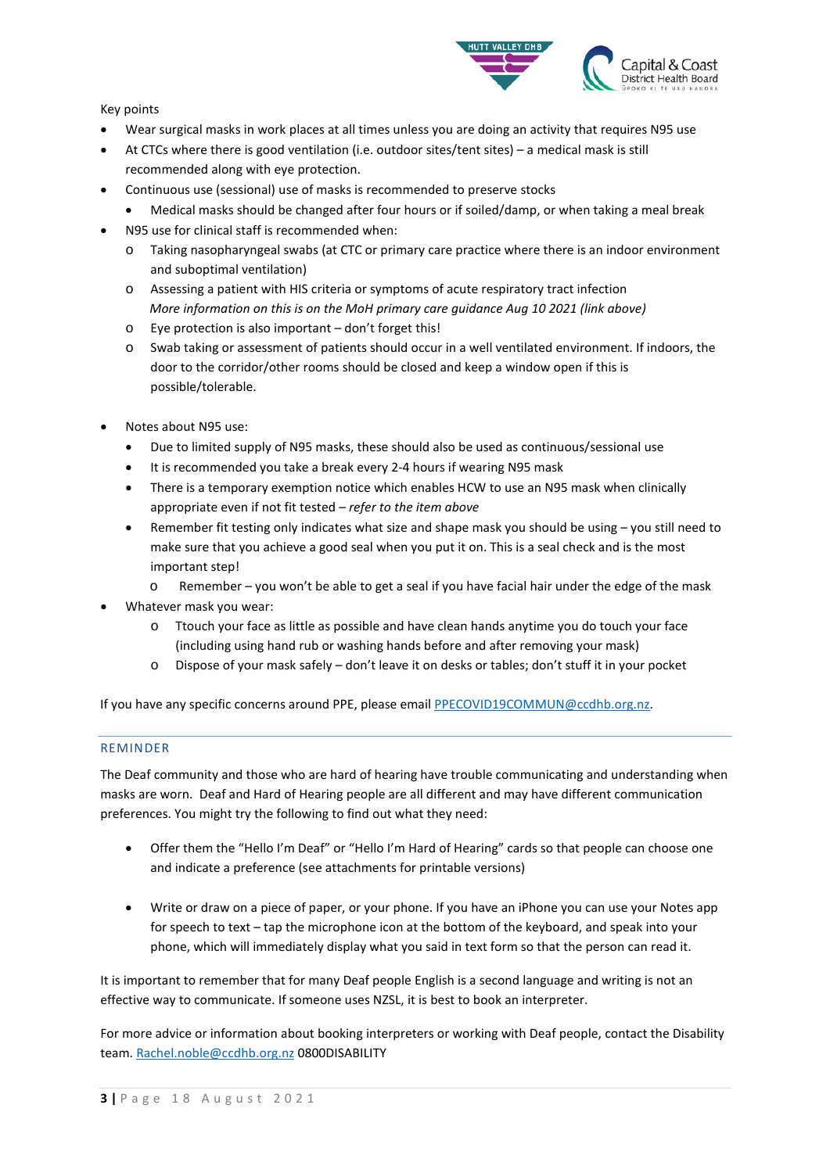

Key points

- Wear surgical masks in work places at all times unless you are doing an activity that requires N95 use
- At CTCs where there is good ventilation (i.e. outdoor sites/tent sites) a medical mask is still recommended along with eye protection.
- Continuous use (sessional) use of masks is recommended to preserve stocks
	- Medical masks should be changed after four hours or if soiled/damp, or when taking a meal break
- N95 use for clinical staff is recommended when:
	- o Taking nasopharyngeal swabs (at CTC or primary care practice where there is an indoor environment and suboptimal ventilation)
	- o Assessing a patient with HIS criteria or symptoms of acute respiratory tract infection *More information on this is on the MoH primary care guidance Aug 10 2021 (link above)*
	- o Eye protection is also important don't forget this!
	- o Swab taking or assessment of patients should occur in a well ventilated environment. If indoors, the door to the corridor/other rooms should be closed and keep a window open if this is possible/tolerable.
- Notes about N95 use:
	- Due to limited supply of N95 masks, these should also be used as continuous/sessional use
	- It is recommended you take a break every 2-4 hours if wearing N95 mask
	- There is a temporary exemption notice which enables HCW to use an N95 mask when clinically appropriate even if not fit tested – *refer to the item above*
	- Remember fit testing only indicates what size and shape mask you should be using you still need to make sure that you achieve a good seal when you put it on. This is a seal check and is the most important step!
		- Remember you won't be able to get a seal if you have facial hair under the edge of the mask
- Whatever mask you wear:
	- o Ttouch your face as little as possible and have clean hands anytime you do touch your face (including using hand rub or washing hands before and after removing your mask)
	- o Dispose of your mask safely don't leave it on desks or tables; don't stuff it in your pocket

If you have any specific concerns around PPE, please email [PPECOVID19COMMUN@ccdhb.org.nz.](mailto:PPECOVID19COMMUN@ccdhb.org.nz)

#### REMINDER

The Deaf community and those who are hard of hearing have trouble communicating and understanding when masks are worn. Deaf and Hard of Hearing people are all different and may have different communication preferences. You might try the following to find out what they need:

- Offer them the "Hello I'm Deaf" or "Hello I'm Hard of Hearing" cards so that people can choose one and indicate a preference (see attachments for printable versions)
- Write or draw on a piece of paper, or your phone. If you have an iPhone you can use your Notes app for speech to text – tap the microphone icon at the bottom of the keyboard, and speak into your phone, which will immediately display what you said in text form so that the person can read it.

It is important to remember that for many Deaf people English is a second language and writing is not an effective way to communicate. If someone uses NZSL, it is best to book an interpreter.

For more advice or information about booking interpreters or working with Deaf people, contact the Disability team. [Rachel.noble@ccdhb.org.nz](mailto:Rachel.noble@ccdhb.org.nz) 0800DISABILITY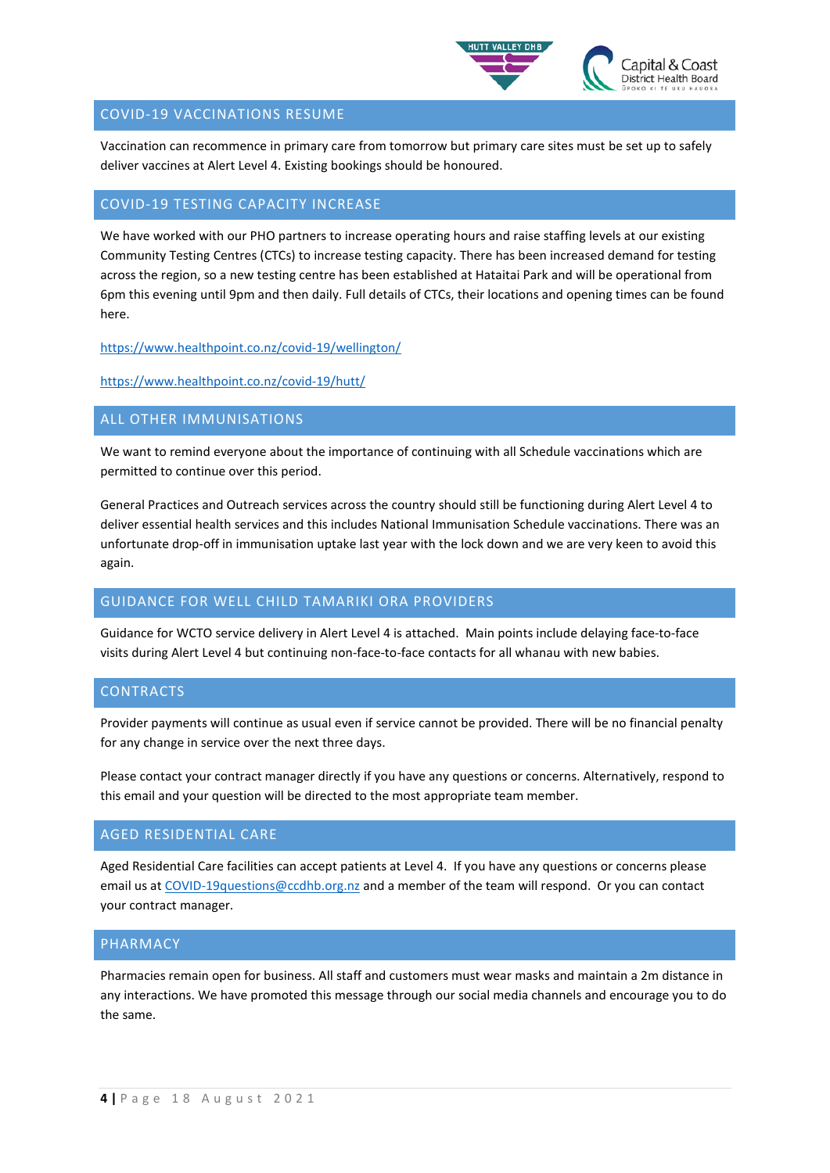

## COVID-19 VACCINATIONS RESUME

Vaccination can recommence in primary care from tomorrow but primary care sites must be set up to safely deliver vaccines at Alert Level 4. Existing bookings should be honoured.

#### COVID-19 TESTING CAPACITY INCREASE

We have worked with our PHO partners to increase operating hours and raise staffing levels at our existing Community Testing Centres (CTCs) to increase testing capacity. There has been increased demand for testing across the region, so a new testing centre has been established at Hataitai Park and will be operational from 6pm this evening until 9pm and then daily. Full details of CTCs, their locations and opening times can be found here.

<https://www.healthpoint.co.nz/covid-19/wellington/>

<https://www.healthpoint.co.nz/covid-19/hutt/>

# ALL OTHER IMMUNISATIONS

We want to remind everyone about the importance of continuing with all Schedule vaccinations which are permitted to continue over this period.

General Practices and Outreach services across the country should still be functioning during Alert Level 4 to deliver essential health services and this includes National Immunisation Schedule vaccinations. There was an unfortunate drop-off in immunisation uptake last year with the lock down and we are very keen to avoid this again.

# GUIDANCE FOR WELL CHILD TAMARIKI ORA PROVIDERS

Guidance for WCTO service delivery in Alert Level 4 is attached. Main points include delaying face-to-face visits during Alert Level 4 but continuing non-face-to-face contacts for all whanau with new babies.

#### CONTRACTS

Provider payments will continue as usual even if service cannot be provided. There will be no financial penalty for any change in service over the next three days.

Please contact your contract manager directly if you have any questions or concerns. Alternatively, respond to this email and your question will be directed to the most appropriate team member.

#### AGED RESIDENTIAL CARE

Aged Residential Care facilities can accept patients at Level 4. If you have any questions or concerns please email us a[t COVID-19questions@ccdhb.org.nz](mailto:COVID-19questions@ccdhb.org.nz) and a member of the team will respond. Or you can contact your contract manager.

#### PHARMACY

Pharmacies remain open for business. All staff and customers must wear masks and maintain a 2m distance in any interactions. We have promoted this message through our social media channels and encourage you to do the same.